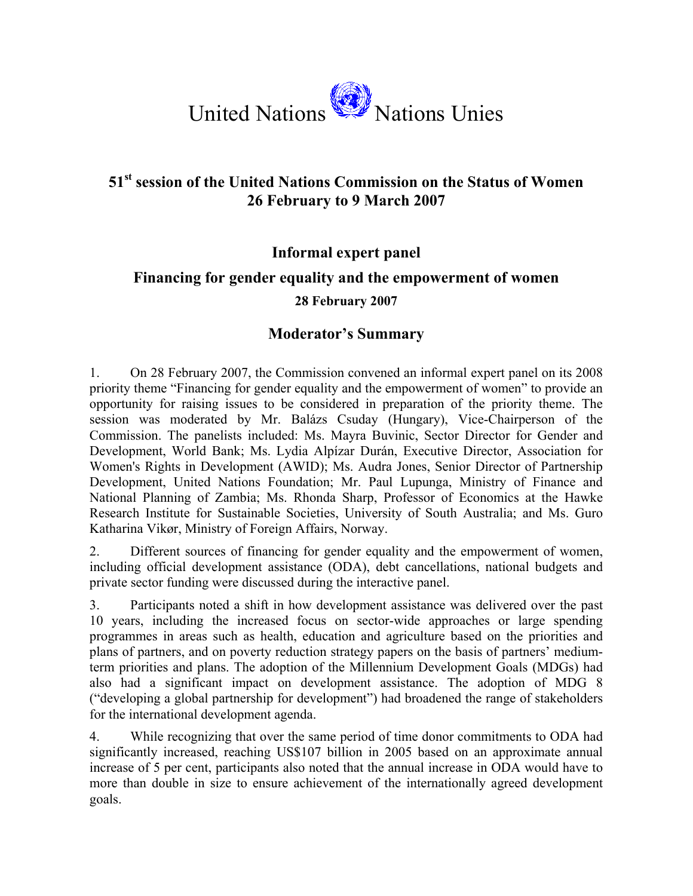

## **51st session of the United Nations Commission on the Status of Women 26 February to 9 March 2007**

## **Informal expert panel Financing for gender equality and the empowerment of women 28 February 2007**

## **Moderator's Summary**

1. On 28 February 2007, the Commission convened an informal expert panel on its 2008 priority theme "Financing for gender equality and the empowerment of women" to provide an opportunity for raising issues to be considered in preparation of the priority theme. The session was moderated by Mr. Balázs Csuday (Hungary), Vice-Chairperson of the Commission. The panelists included: Ms. Mayra Buvinic, Sector Director for Gender and Development, World Bank; Ms. Lydia Alpízar Durán, Executive Director, Association for Women's Rights in Development (AWID); Ms. Audra Jones, Senior Director of Partnership Development, United Nations Foundation; Mr. Paul Lupunga, Ministry of Finance and National Planning of Zambia; Ms. Rhonda Sharp, Professor of Economics at the Hawke Research Institute for Sustainable Societies, University of South Australia; and Ms. Guro Katharina Vikør, Ministry of Foreign Affairs, Norway.

2. Different sources of financing for gender equality and the empowerment of women, including official development assistance (ODA), debt cancellations, national budgets and private sector funding were discussed during the interactive panel.

3. Participants noted a shift in how development assistance was delivered over the past 10 years, including the increased focus on sector-wide approaches or large spending programmes in areas such as health, education and agriculture based on the priorities and plans of partners, and on poverty reduction strategy papers on the basis of partners' mediumterm priorities and plans. The adoption of the Millennium Development Goals (MDGs) had also had a significant impact on development assistance. The adoption of MDG 8 ("developing a global partnership for development") had broadened the range of stakeholders for the international development agenda.

4. While recognizing that over the same period of time donor commitments to ODA had significantly increased, reaching US\$107 billion in 2005 based on an approximate annual increase of 5 per cent, participants also noted that the annual increase in ODA would have to more than double in size to ensure achievement of the internationally agreed development goals.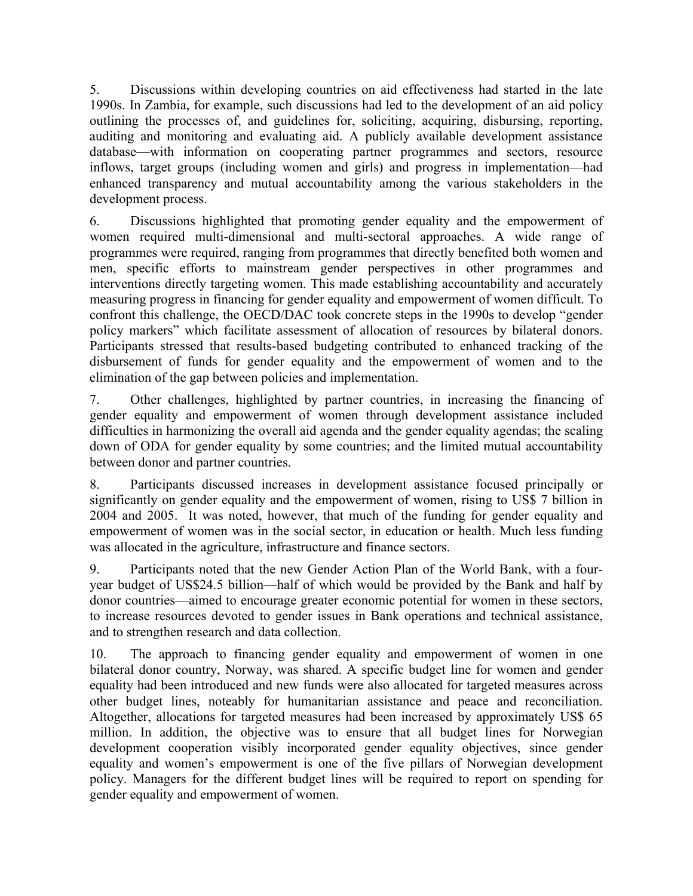5. Discussions within developing countries on aid effectiveness had started in the late 1990s. In Zambia, for example, such discussions had led to the development of an aid policy outlining the processes of, and guidelines for, soliciting, acquiring, disbursing, reporting, auditing and monitoring and evaluating aid. A publicly available development assistance database—with information on cooperating partner programmes and sectors, resource inflows, target groups (including women and girls) and progress in implementation—had enhanced transparency and mutual accountability among the various stakeholders in the development process.

6. Discussions highlighted that promoting gender equality and the empowerment of women required multi-dimensional and multi-sectoral approaches. A wide range of programmes were required, ranging from programmes that directly benefited both women and men, specific efforts to mainstream gender perspectives in other programmes and interventions directly targeting women. This made establishing accountability and accurately measuring progress in financing for gender equality and empowerment of women difficult. To confront this challenge, the OECD/DAC took concrete steps in the 1990s to develop "gender policy markers" which facilitate assessment of allocation of resources by bilateral donors. Participants stressed that results-based budgeting contributed to enhanced tracking of the disbursement of funds for gender equality and the empowerment of women and to the elimination of the gap between policies and implementation.

7. Other challenges, highlighted by partner countries, in increasing the financing of gender equality and empowerment of women through development assistance included difficulties in harmonizing the overall aid agenda and the gender equality agendas; the scaling down of ODA for gender equality by some countries; and the limited mutual accountability between donor and partner countries.

8. Participants discussed increases in development assistance focused principally or significantly on gender equality and the empowerment of women, rising to US\$ 7 billion in 2004 and 2005. It was noted, however, that much of the funding for gender equality and empowerment of women was in the social sector, in education or health. Much less funding was allocated in the agriculture, infrastructure and finance sectors.

9. Participants noted that the new Gender Action Plan of the World Bank, with a fouryear budget of US\$24.5 billion—half of which would be provided by the Bank and half by donor countries—aimed to encourage greater economic potential for women in these sectors, to increase resources devoted to gender issues in Bank operations and technical assistance, and to strengthen research and data collection.

10. The approach to financing gender equality and empowerment of women in one bilateral donor country, Norway, was shared. A specific budget line for women and gender equality had been introduced and new funds were also allocated for targeted measures across other budget lines, noteably for humanitarian assistance and peace and reconciliation. Altogether, allocations for targeted measures had been increased by approximately US\$ 65 million. In addition, the objective was to ensure that all budget lines for Norwegian development cooperation visibly incorporated gender equality objectives, since gender equality and women's empowerment is one of the five pillars of Norwegian development policy. Managers for the different budget lines will be required to report on spending for gender equality and empowerment of women.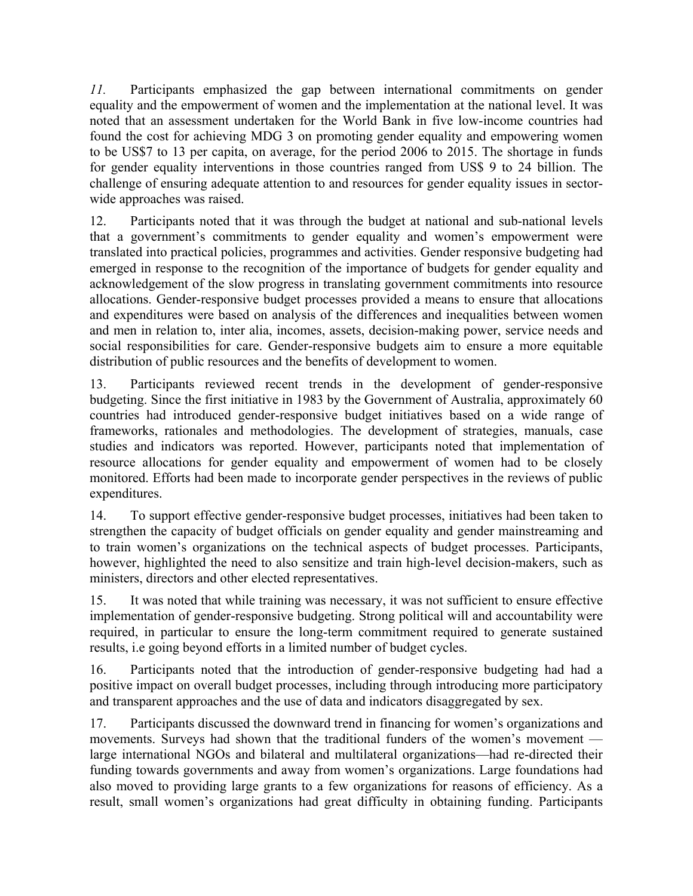*11.* Participants emphasized the gap between international commitments on gender equality and the empowerment of women and the implementation at the national level. It was noted that an assessment undertaken for the World Bank in five low-income countries had found the cost for achieving MDG 3 on promoting gender equality and empowering women to be US\$7 to 13 per capita, on average, for the period 2006 to 2015. The shortage in funds for gender equality interventions in those countries ranged from US\$ 9 to 24 billion. The challenge of ensuring adequate attention to and resources for gender equality issues in sectorwide approaches was raised.

12. Participants noted that it was through the budget at national and sub-national levels that a government's commitments to gender equality and women's empowerment were translated into practical policies, programmes and activities. Gender responsive budgeting had emerged in response to the recognition of the importance of budgets for gender equality and acknowledgement of the slow progress in translating government commitments into resource allocations. Gender-responsive budget processes provided a means to ensure that allocations and expenditures were based on analysis of the differences and inequalities between women and men in relation to, inter alia, incomes, assets, decision-making power, service needs and social responsibilities for care. Gender-responsive budgets aim to ensure a more equitable distribution of public resources and the benefits of development to women.

13. Participants reviewed recent trends in the development of gender-responsive budgeting. Since the first initiative in 1983 by the Government of Australia, approximately 60 countries had introduced gender-responsive budget initiatives based on a wide range of frameworks, rationales and methodologies. The development of strategies, manuals, case studies and indicators was reported. However, participants noted that implementation of resource allocations for gender equality and empowerment of women had to be closely monitored. Efforts had been made to incorporate gender perspectives in the reviews of public expenditures.

14. To support effective gender-responsive budget processes, initiatives had been taken to strengthen the capacity of budget officials on gender equality and gender mainstreaming and to train women's organizations on the technical aspects of budget processes. Participants, however, highlighted the need to also sensitize and train high-level decision-makers, such as ministers, directors and other elected representatives.

15. It was noted that while training was necessary, it was not sufficient to ensure effective implementation of gender-responsive budgeting. Strong political will and accountability were required, in particular to ensure the long-term commitment required to generate sustained results, i.e going beyond efforts in a limited number of budget cycles.

16. Participants noted that the introduction of gender-responsive budgeting had had a positive impact on overall budget processes, including through introducing more participatory and transparent approaches and the use of data and indicators disaggregated by sex.

17. Participants discussed the downward trend in financing for women's organizations and movements. Surveys had shown that the traditional funders of the women's movement large international NGOs and bilateral and multilateral organizations—had re-directed their funding towards governments and away from women's organizations. Large foundations had also moved to providing large grants to a few organizations for reasons of efficiency. As a result, small women's organizations had great difficulty in obtaining funding. Participants